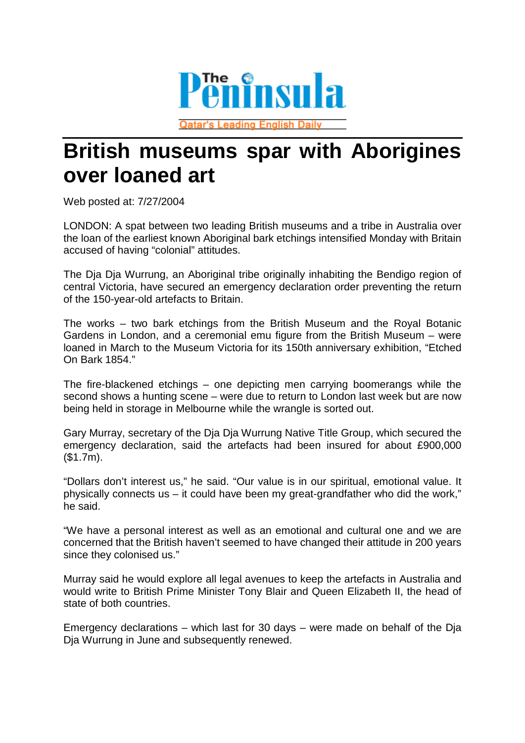

**Qatar's Leading English Daily** 

## **British museums spar with Aborigines over loaned art**

Web posted at: 7/27/2004

LONDON: A spat between two leading British museums and a tribe in Australia over the loan of the earliest known Aboriginal bark etchings intensified Monday with Britain accused of having "colonial" attitudes.

The Dja Dja Wurrung, an Aboriginal tribe originally inhabiting the Bendigo region of central Victoria, have secured an emergency declaration order preventing the return of the 150-year-old artefacts to Britain.

The works – two bark etchings from the British Museum and the Royal Botanic Gardens in London, and a ceremonial emu figure from the British Museum – were loaned in March to the Museum Victoria for its 150th anniversary exhibition, "Etched On Bark 1854."

The fire-blackened etchings – one depicting men carrying boomerangs while the second shows a hunting scene – were due to return to London last week but are now being held in storage in Melbourne while the wrangle is sorted out.

Gary Murray, secretary of the Dja Dja Wurrung Native Title Group, which secured the emergency declaration, said the artefacts had been insured for about £900,000 (\$1.7m).

"Dollars don't interest us," he said. "Our value is in our spiritual, emotional value. It physically connects us – it could have been my great-grandfather who did the work," he said.

"We have a personal interest as well as an emotional and cultural one and we are concerned that the British haven't seemed to have changed their attitude in 200 years since they colonised us."

Murray said he would explore all legal avenues to keep the artefacts in Australia and would write to British Prime Minister Tony Blair and Queen Elizabeth II, the head of state of both countries.

Emergency declarations – which last for 30 days – were made on behalf of the Dja Dja Wurrung in June and subsequently renewed.